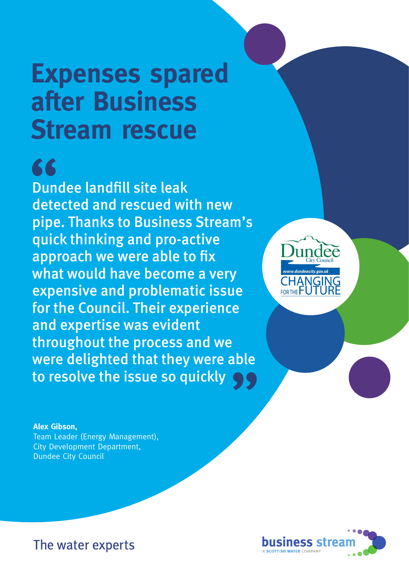# **Expenses spared after Business Stream rescue**

## 66

Dundee landfill site leak detected and rescued with new pipe. Thanks to Business Stream's quick thinking and pro-active approach we were able to fix what would have become a very expensive and problematic issue for the Council. Their experience and expertise was evident throughout the process and we were delighted that they were able to resolve the issue so quickly uble<br>99



**Alex Gibson,**  Team Leader (Energy Management), City Development Department, Dundee City Council



The water experts